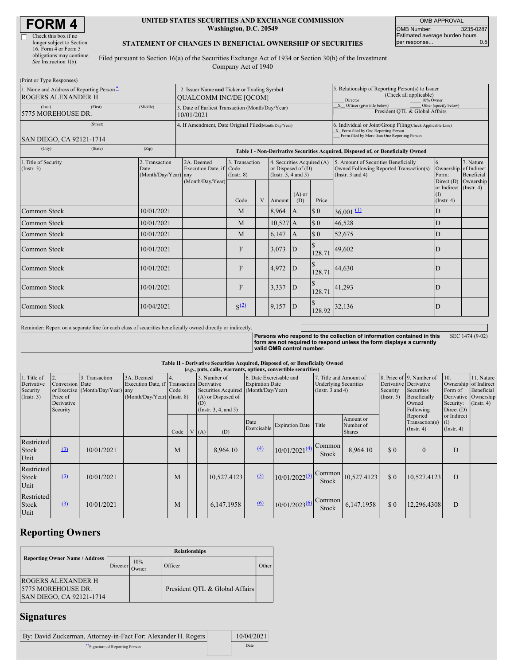# **FORM 4**

 $\overline{\Gamma}$ 

| Check this box if no      |
|---------------------------|
| longer subject to Section |
| 16. Form 4 or Form 5      |
| obligations may continue. |
| See Instruction 1(b).     |
|                           |

#### **UNITED STATES SECURITIES AND EXCHANGE COMMISSION Washington, D.C. 20549**

OMB APPROVAL OMB Number: 3235-0287 Estimated average burden hours<br>per response... 0.5 per response...

#### **STATEMENT OF CHANGES IN BENEFICIAL OWNERSHIP OF SECURITIES**

Filed pursuant to Section 16(a) of the Securities Exchange Act of 1934 or Section 30(h) of the Investment Company Act of 1940

| (Print or Type Responses)                                             |                                                |                                                                                  |                                   |   |                                                                            |                 |          |                                                                                                                                                    |                                                      |                                      |  |  |
|-----------------------------------------------------------------------|------------------------------------------------|----------------------------------------------------------------------------------|-----------------------------------|---|----------------------------------------------------------------------------|-----------------|----------|----------------------------------------------------------------------------------------------------------------------------------------------------|------------------------------------------------------|--------------------------------------|--|--|
| 1. Name and Address of Reporting Person-<br><b>ROGERS ALEXANDER H</b> |                                                | 2. Issuer Name and Ticker or Trading Symbol<br><b>QUALCOMM INC/DE [QCOM]</b>     |                                   |   |                                                                            |                 |          | 5. Relationship of Reporting Person(s) to Issuer<br>(Check all applicable)<br>Director<br>10% Owner                                                |                                                      |                                      |  |  |
| (Last)<br>(First)<br>5775 MOREHOUSE DR.                               | (Middle)                                       | 3. Date of Earliest Transaction (Month/Day/Year)<br>10/01/2021                   |                                   |   |                                                                            |                 |          | X Officer (give title below)<br>Other (specify below)<br>President OTL & Global Affairs                                                            |                                                      |                                      |  |  |
| (Street)<br>SAN DIEGO, CA 92121-1714                                  |                                                | 4. If Amendment, Date Original Filed(Month/Day/Year)                             |                                   |   |                                                                            |                 |          | 6. Individual or Joint/Group Filing(Check Applicable Line)<br>X Form filed by One Reporting Person<br>Form filed by More than One Reporting Person |                                                      |                                      |  |  |
| (City)<br>(State)                                                     | (Zip)                                          | Table I - Non-Derivative Securities Acquired, Disposed of, or Beneficially Owned |                                   |   |                                                                            |                 |          |                                                                                                                                                    |                                                      |                                      |  |  |
| 1. Title of Security<br>(Insert. 3)                                   | 2. Transaction<br>Date<br>(Month/Day/Year) any | 2A. Deemed<br>Execution Date, if Code<br>(Month/Day/Year)                        | 3. Transaction<br>$($ Instr. $8)$ |   | 4. Securities Acquired (A)<br>or Disposed of $(D)$<br>(Insert. 3, 4 and 5) |                 |          | 5. Amount of Securities Beneficially<br>Owned Following Reported Transaction(s)<br>(Instr. $3$ and $4$ )                                           | 6.<br>Ownership of Indirect<br>Form:<br>Direct $(D)$ | 7. Nature<br>Beneficial<br>Ownership |  |  |
|                                                                       |                                                |                                                                                  | Code                              | V | Amount                                                                     | $(A)$ or<br>(D) | Price    |                                                                                                                                                    | or Indirect (Instr. 4)<br>(I)<br>$($ Instr. 4 $)$    |                                      |  |  |
| Common Stock                                                          | 10/01/2021                                     |                                                                                  | M                                 |   | 8,964                                                                      | $\mathbf{A}$    | \$0      | $36,001 \underline{11}$                                                                                                                            | ID                                                   |                                      |  |  |
| Common Stock                                                          | 10/01/2021                                     |                                                                                  | M                                 |   | $10,527$ A                                                                 |                 | \$0      | 46,528                                                                                                                                             | D                                                    |                                      |  |  |
| Common Stock                                                          | 10/01/2021                                     |                                                                                  | M                                 |   | 6,147                                                                      | A               | $\Omega$ | 52,675                                                                                                                                             | D                                                    |                                      |  |  |
| Common Stock                                                          | 10/01/2021                                     |                                                                                  | F                                 |   | 3,073                                                                      | D               | 128.71   | 49,602                                                                                                                                             | D                                                    |                                      |  |  |
| <b>Common Stock</b>                                                   | 10/01/2021                                     |                                                                                  | $\mathbf{F}$                      |   | 4.972                                                                      | D               | 128.71   | 44,630                                                                                                                                             | D                                                    |                                      |  |  |
| Common Stock                                                          | 10/01/2021                                     |                                                                                  | F                                 |   | 3,337                                                                      | D               | 128.71   | 41,293                                                                                                                                             | D                                                    |                                      |  |  |
| Common Stock                                                          | 10/04/2021                                     |                                                                                  | S <sup>(2)</sup>                  |   | 9,157                                                                      | D               | 128.92   | 32,136                                                                                                                                             | D                                                    |                                      |  |  |

Reminder: Report on a separate line for each class of securities beneficially owned directly or indirectly.

**Persons who respond to the collection of information contained in this form are not required to respond unless the form displays a currently valid OMB control number.** SEC 1474 (9-02)

#### **Table II - Derivative Securities Acquired, Disposed of, or Beneficially Owned**

| (e.g., puts, calls, warrants, options, convertible securities) |                                                       |                                                    |                                                                                        |      |  |      |                                                                                                     |                                                   |                           |                                                                                 |                                         |                              |                                                                                                       |                                                                      |                                                                      |
|----------------------------------------------------------------|-------------------------------------------------------|----------------------------------------------------|----------------------------------------------------------------------------------------|------|--|------|-----------------------------------------------------------------------------------------------------|---------------------------------------------------|---------------------------|---------------------------------------------------------------------------------|-----------------------------------------|------------------------------|-------------------------------------------------------------------------------------------------------|----------------------------------------------------------------------|----------------------------------------------------------------------|
| 1. Title of<br>Derivative<br>Security<br>(Insert. 3)           | Conversion Date<br>Price of<br>Derivative<br>Security | 3. Transaction<br>or Exercise (Month/Day/Year) any | 3A. Deemed<br>Execution Date, if Transaction Derivative<br>(Month/Day/Year) (Instr. 8) | Code |  | (D)  | 5. Number of<br>Securities Acquired (Month/Day/Year)<br>(A) or Disposed of<br>(Insert. 3, 4, and 5) | 6. Date Exercisable and<br><b>Expiration Date</b> |                           | 7. Title and Amount of<br><b>Underlying Securities</b><br>(Instr. $3$ and $4$ ) |                                         | Security<br>$($ Instr. 5 $)$ | 8. Price of 9. Number of<br>Derivative Derivative<br>Securities<br>Beneficially<br>Owned<br>Following | 10.<br>Ownership of Indirect<br>Form of<br>Security:<br>Direct $(D)$ | 11. Nature<br>Beneficial<br>Derivative Ownership<br>$($ Instr. 4 $)$ |
|                                                                |                                                       |                                                    |                                                                                        | Code |  | V(A) | (D)                                                                                                 | Date<br>Exercisable                               | <b>Expiration Date</b>    | Title                                                                           | Amount or<br>Number of<br><b>Shares</b> |                              | Reported<br>Transaction(s)<br>$($ Instr. 4 $)$                                                        | or Indirect<br>(I)<br>$($ Instr. 4 $)$                               |                                                                      |
| Restricted<br><b>Stock</b><br>Unit                             | $\left(3\right)$                                      | 10/01/2021                                         |                                                                                        | M    |  |      | 8,964.10                                                                                            | (4)                                               | $10/01/2021(4)$ Common    | <b>Stock</b>                                                                    | 8,964.10                                | \$0                          | $\mathbf{0}$                                                                                          | D                                                                    |                                                                      |
| Restricted<br><b>Stock</b><br>Unit                             | $\Omega$                                              | 10/01/2021                                         |                                                                                        | M    |  |      | 10,527.4123                                                                                         | (5)                                               | $10/01/2022^{(5)}$ Common | Stock                                                                           | 10,527.4123                             | \$0                          | 10,527.4123                                                                                           | D                                                                    |                                                                      |
| Restricted<br><b>Stock</b><br>Unit                             | $\Omega$                                              | 10/01/2021                                         |                                                                                        | M    |  |      | 6,147.1958                                                                                          | 6                                                 | 10/01/20236               | Common<br>Stock                                                                 | 6,147.1958                              | \$0                          | 12,296.4308                                                                                           | D                                                                    |                                                                      |

# **Reporting Owners**

|                                                                                     | <b>Relationships</b> |                     |                                |       |  |  |  |  |  |
|-------------------------------------------------------------------------------------|----------------------|---------------------|--------------------------------|-------|--|--|--|--|--|
| <b>Reporting Owner Name / Address</b>                                               | Director             | 10%<br><b>Jwner</b> | Officer                        | Other |  |  |  |  |  |
| <b>ROGERS ALEXANDER H</b><br>15775 MOREHOUSE DR.<br><b>SAN DIEGO, CA 92121-1714</b> |                      |                     | President OTL & Global Affairs |       |  |  |  |  |  |

## **Signatures**

| By: David Zuckerman, Attorney-in-Fact For: Alexander H. Rogers | 10/04/2021 |
|----------------------------------------------------------------|------------|
| Signature of Reporting Person                                  | Date       |